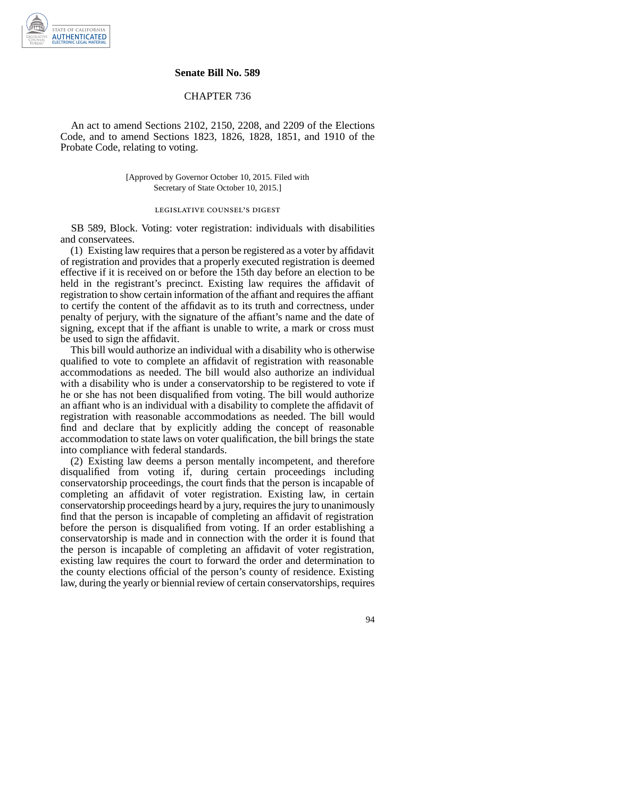

## **Senate Bill No. 589**

## CHAPTER 736

An act to amend Sections 2102, 2150, 2208, and 2209 of the Elections Code, and to amend Sections 1823, 1826, 1828, 1851, and 1910 of the Probate Code, relating to voting.

> [Approved by Governor October 10, 2015. Filed with Secretary of State October 10, 2015.]

## legislative counsel' s digest

SB 589, Block. Voting: voter registration: individuals with disabilities and conservatees.

(1) Existing law requires that a person be registered as a voter by affidavit of registration and provides that a properly executed registration is deemed effective if it is received on or before the 15th day before an election to be held in the registrant's precinct. Existing law requires the affidavit of registration to show certain information of the affiant and requires the affiant to certify the content of the affidavit as to its truth and correctness, under penalty of perjury, with the signature of the affiant's name and the date of signing, except that if the affiant is unable to write, a mark or cross must be used to sign the affidavit.

This bill would authorize an individual with a disability who is otherwise qualified to vote to complete an affidavit of registration with reasonable accommodations as needed. The bill would also authorize an individual with a disability who is under a conservatorship to be registered to vote if he or she has not been disqualified from voting. The bill would authorize an affiant who is an individual with a disability to complete the affidavit of registration with reasonable accommodations as needed. The bill would find and declare that by explicitly adding the concept of reasonable accommodation to state laws on voter qualification, the bill brings the state into compliance with federal standards.

(2) Existing law deems a person mentally incompetent, and therefore disqualified from voting if, during certain proceedings including conservatorship proceedings, the court finds that the person is incapable of completing an affidavit of voter registration. Existing law, in certain conservatorship proceedings heard by a jury, requires the jury to unanimously find that the person is incapable of completing an affidavit of registration before the person is disqualified from voting. If an order establishing a conservatorship is made and in connection with the order it is found that the person is incapable of completing an affidavit of voter registration, existing law requires the court to forward the order and determination to the county elections official of the person's county of residence. Existing law, during the yearly or biennial review of certain conservatorships, requires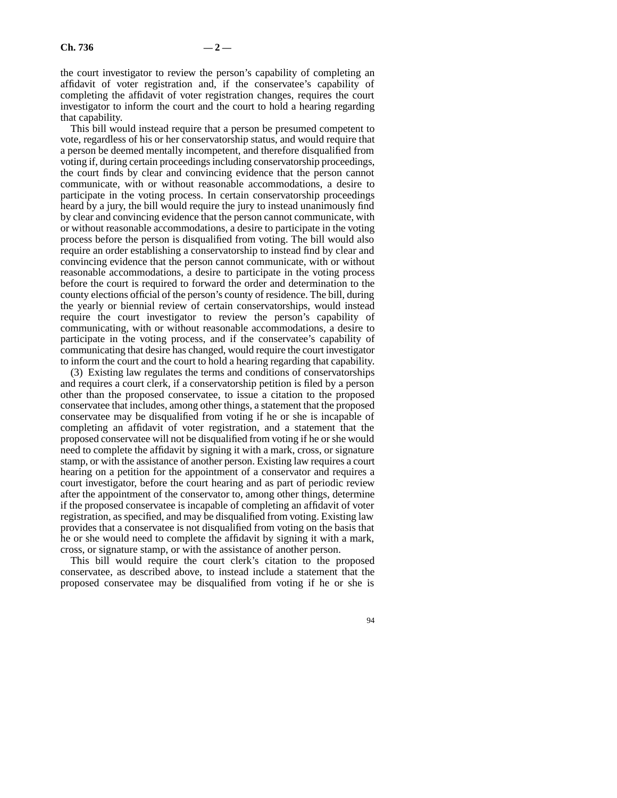the court investigator to review the person's capability of completing an affidavit of voter registration and, if the conservatee's capability of completing the affidavit of voter registration changes, requires the court investigator to inform the court and the court to hold a hearing regarding that capability.

This bill would instead require that a person be presumed competent to vote, regardless of his or her conservatorship status, and would require that a person be deemed mentally incompetent, and therefore disqualified from voting if, during certain proceedings including conservatorship proceedings, the court finds by clear and convincing evidence that the person cannot communicate, with or without reasonable accommodations, a desire to participate in the voting process. In certain conservatorship proceedings heard by a jury, the bill would require the jury to instead unanimously find by clear and convincing evidence that the person cannot communicate, with or without reasonable accommodations, a desire to participate in the voting process before the person is disqualified from voting. The bill would also require an order establishing a conservatorship to instead find by clear and convincing evidence that the person cannot communicate, with or without reasonable accommodations, a desire to participate in the voting process before the court is required to forward the order and determination to the county elections official of the person's county of residence. The bill, during the yearly or biennial review of certain conservatorships, would instead require the court investigator to review the person's capability of communicating, with or without reasonable accommodations, a desire to participate in the voting process, and if the conservatee's capability of communicating that desire has changed, would require the court investigator to inform the court and the court to hold a hearing regarding that capability.

(3) Existing law regulates the terms and conditions of conservatorships and requires a court clerk, if a conservatorship petition is filed by a person other than the proposed conservatee, to issue a citation to the proposed conservatee that includes, among other things, a statement that the proposed conservatee may be disqualified from voting if he or she is incapable of completing an affidavit of voter registration, and a statement that the proposed conservatee will not be disqualified from voting if he or she would need to complete the affidavit by signing it with a mark, cross, or signature stamp, or with the assistance of another person. Existing law requires a court hearing on a petition for the appointment of a conservator and requires a court investigator, before the court hearing and as part of periodic review after the appointment of the conservator to, among other things, determine if the proposed conservatee is incapable of completing an affidavit of voter registration, as specified, and may be disqualified from voting. Existing law provides that a conservatee is not disqualified from voting on the basis that he or she would need to complete the affidavit by signing it with a mark, cross, or signature stamp, or with the assistance of another person.

This bill would require the court clerk's citation to the proposed conservatee, as described above, to instead include a statement that the proposed conservatee may be disqualified from voting if he or she is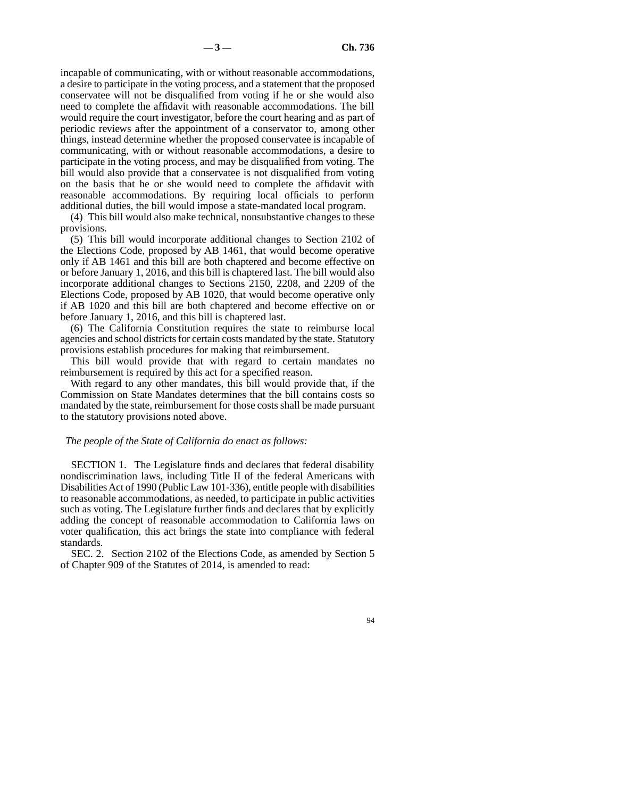incapable of communicating, with or without reasonable accommodations, a desire to participate in the voting process, and a statement that the proposed conservatee will not be disqualified from voting if he or she would also need to complete the affidavit with reasonable accommodations. The bill would require the court investigator, before the court hearing and as part of periodic reviews after the appointment of a conservator to, among other things, instead determine whether the proposed conservatee is incapable of communicating, with or without reasonable accommodations, a desire to participate in the voting process, and may be disqualified from voting. The bill would also provide that a conservatee is not disqualified from voting on the basis that he or she would need to complete the affidavit with reasonable accommodations. By requiring local officials to perform additional duties, the bill would impose a state-mandated local program.

(4) This bill would also make technical, nonsubstantive changes to these provisions.

(5) This bill would incorporate additional changes to Section 2102 of the Elections Code, proposed by AB 1461, that would become operative only if AB 1461 and this bill are both chaptered and become effective on or before January 1, 2016, and this bill is chaptered last. The bill would also incorporate additional changes to Sections 2150, 2208, and 2209 of the Elections Code, proposed by AB 1020, that would become operative only if AB 1020 and this bill are both chaptered and become effective on or before January 1, 2016, and this bill is chaptered last.

(6) The California Constitution requires the state to reimburse local agencies and school districts for certain costs mandated by the state. Statutory provisions establish procedures for making that reimbursement.

This bill would provide that with regard to certain mandates no reimbursement is required by this act for a specified reason.

With regard to any other mandates, this bill would provide that, if the Commission on State Mandates determines that the bill contains costs so mandated by the state, reimbursement for those costs shall be made pursuant to the statutory provisions noted above.

## *The people of the State of California do enact as follows:*

SECTION 1. The Legislature finds and declares that federal disability nondiscrimination laws, including Title II of the federal Americans with Disabilities Act of 1990 (Public Law 101-336), entitle people with disabilities to reasonable accommodations, as needed, to participate in public activities such as voting. The Legislature further finds and declares that by explicitly adding the concept of reasonable accommodation to California laws on voter qualification, this act brings the state into compliance with federal standards.

SEC. 2. Section 2102 of the Elections Code, as amended by Section 5 of Chapter 909 of the Statutes of 2014, is amended to read: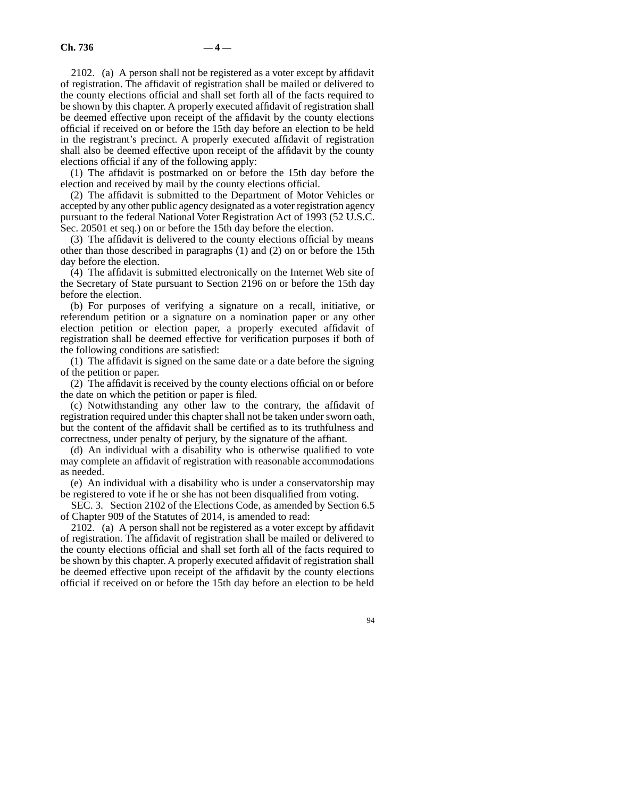2102. (a) A person shall not be registered as a voter except by affidavit of registration. The affidavit of registration shall be mailed or delivered to the county elections official and shall set forth all of the facts required to be shown by this chapter. A properly executed affidavit of registration shall be deemed effective upon receipt of the affidavit by the county elections official if received on or before the 15th day before an election to be held in the registrant's precinct. A properly executed affidavit of registration shall also be deemed effective upon receipt of the affidavit by the county elections official if any of the following apply:

(1) The affidavit is postmarked on or before the 15th day before the election and received by mail by the county elections official.

(2) The affidavit is submitted to the Department of Motor Vehicles or accepted by any other public agency designated as a voter registration agency pursuant to the federal National Voter Registration Act of 1993 (52 U.S.C. Sec. 20501 et seq.) on or before the 15th day before the election.

(3) The affidavit is delivered to the county elections official by means other than those described in paragraphs (1) and (2) on or before the 15th day before the election.

(4) The affidavit is submitted electronically on the Internet Web site of the Secretary of State pursuant to Section 2196 on or before the 15th day before the election.

(b) For purposes of verifying a signature on a recall, initiative, or referendum petition or a signature on a nomination paper or any other election petition or election paper, a properly executed affidavit of registration shall be deemed effective for verification purposes if both of the following conditions are satisfied:

(1) The affidavit is signed on the same date or a date before the signing of the petition or paper.

(2) The affidavit is received by the county elections official on or before the date on which the petition or paper is filed.

(c) Notwithstanding any other law to the contrary, the affidavit of registration required under this chapter shall not be taken under sworn oath, but the content of the affidavit shall be certified as to its truthfulness and correctness, under penalty of perjury, by the signature of the affiant.

(d) An individual with a disability who is otherwise qualified to vote may complete an affidavit of registration with reasonable accommodations as needed.

(e) An individual with a disability who is under a conservatorship may be registered to vote if he or she has not been disqualified from voting.

SEC. 3. Section 2102 of the Elections Code, as amended by Section 6.5 of Chapter 909 of the Statutes of 2014, is amended to read:

2102. (a) A person shall not be registered as a voter except by affidavit of registration. The affidavit of registration shall be mailed or delivered to the county elections official and shall set forth all of the facts required to be shown by this chapter. A properly executed affidavit of registration shall be deemed effective upon receipt of the affidavit by the county elections official if received on or before the 15th day before an election to be held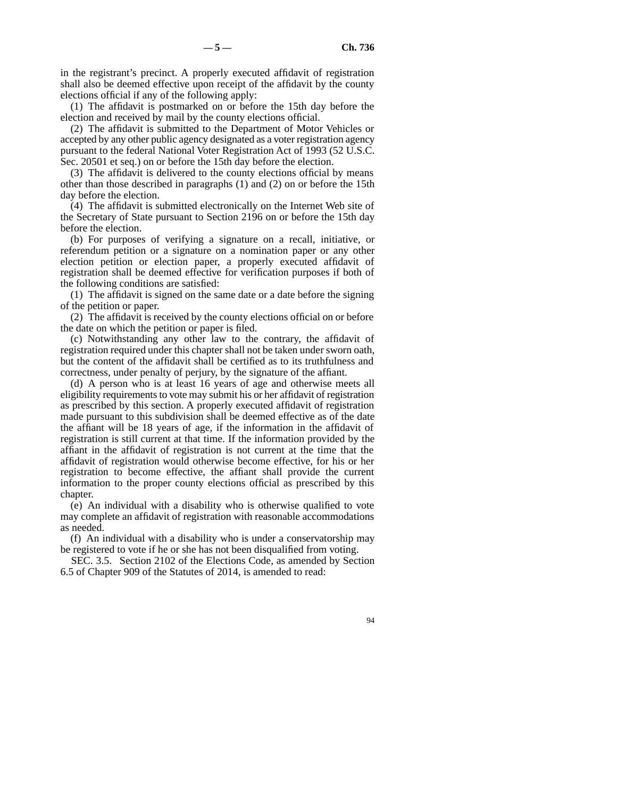in the registrant's precinct. A properly executed affidavit of registration shall also be deemed effective upon receipt of the affidavit by the county elections official if any of the following apply:

(1) The affidavit is postmarked on or before the 15th day before the election and received by mail by the county elections official.

(2) The affidavit is submitted to the Department of Motor Vehicles or accepted by any other public agency designated as a voter registration agency pursuant to the federal National Voter Registration Act of 1993 (52 U.S.C. Sec. 20501 et seq.) on or before the 15th day before the election.

(3) The affidavit is delivered to the county elections official by means other than those described in paragraphs (1) and (2) on or before the 15th day before the election.

(4) The affidavit is submitted electronically on the Internet Web site of the Secretary of State pursuant to Section 2196 on or before the 15th day before the election.

(b) For purposes of verifying a signature on a recall, initiative, or referendum petition or a signature on a nomination paper or any other election petition or election paper, a properly executed affidavit of registration shall be deemed effective for verification purposes if both of the following conditions are satisfied:

(1) The affidavit is signed on the same date or a date before the signing of the petition or paper.

(2) The affidavit is received by the county elections official on or before the date on which the petition or paper is filed.

(c) Notwithstanding any other law to the contrary, the affidavit of registration required under this chapter shall not be taken under sworn oath, but the content of the affidavit shall be certified as to its truthfulness and correctness, under penalty of perjury, by the signature of the affiant.

(d) A person who is at least 16 years of age and otherwise meets all eligibility requirements to vote may submit his or her affidavit of registration as prescribed by this section. A properly executed affidavit of registration made pursuant to this subdivision shall be deemed effective as of the date the affiant will be 18 years of age, if the information in the affidavit of registration is still current at that time. If the information provided by the affiant in the affidavit of registration is not current at the time that the affidavit of registration would otherwise become effective, for his or her registration to become effective, the affiant shall provide the current information to the proper county elections official as prescribed by this chapter.

(e) An individual with a disability who is otherwise qualified to vote may complete an affidavit of registration with reasonable accommodations as needed.

(f) An individual with a disability who is under a conservatorship may be registered to vote if he or she has not been disqualified from voting.

SEC. 3.5. Section 2102 of the Elections Code, as amended by Section 6.5 of Chapter 909 of the Statutes of 2014, is amended to read: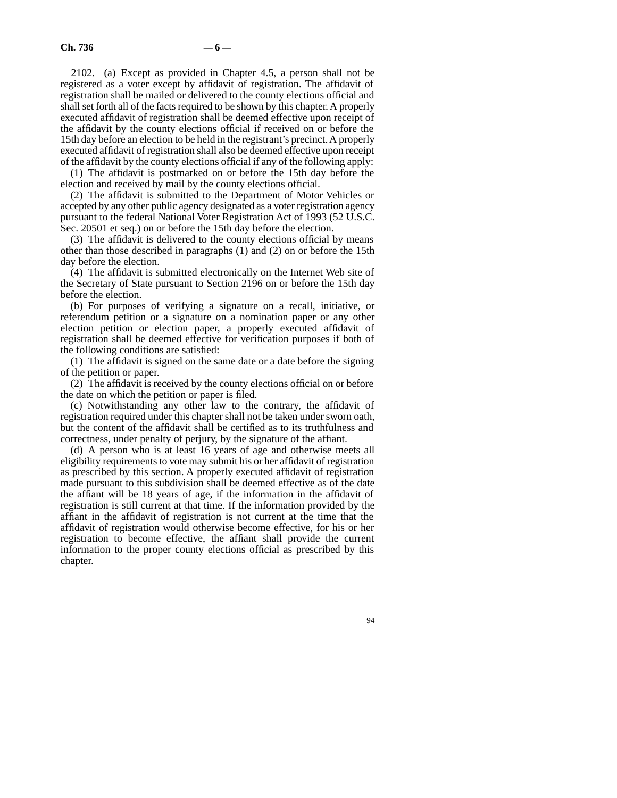2102. (a) Except as provided in Chapter 4.5, a person shall not be registered as a voter except by affidavit of registration. The affidavit of registration shall be mailed or delivered to the county elections official and shall set forth all of the facts required to be shown by this chapter. A properly executed affidavit of registration shall be deemed effective upon receipt of the affidavit by the county elections official if received on or before the 15th day before an election to be held in the registrant's precinct. A properly executed affidavit of registration shall also be deemed effective upon receipt of the affidavit by the county elections official if any of the following apply:

(1) The affidavit is postmarked on or before the 15th day before the election and received by mail by the county elections official.

(2) The affidavit is submitted to the Department of Motor Vehicles or accepted by any other public agency designated as a voter registration agency pursuant to the federal National Voter Registration Act of 1993 (52 U.S.C. Sec. 20501 et seq.) on or before the 15th day before the election.

(3) The affidavit is delivered to the county elections official by means other than those described in paragraphs (1) and (2) on or before the 15th day before the election.

(4) The affidavit is submitted electronically on the Internet Web site of the Secretary of State pursuant to Section 2196 on or before the 15th day before the election.

(b) For purposes of verifying a signature on a recall, initiative, or referendum petition or a signature on a nomination paper or any other election petition or election paper, a properly executed affidavit of registration shall be deemed effective for verification purposes if both of the following conditions are satisfied:

(1) The affidavit is signed on the same date or a date before the signing of the petition or paper.

(2) The affidavit is received by the county elections official on or before the date on which the petition or paper is filed.

(c) Notwithstanding any other law to the contrary, the affidavit of registration required under this chapter shall not be taken under sworn oath, but the content of the affidavit shall be certified as to its truthfulness and correctness, under penalty of perjury, by the signature of the affiant.

(d) A person who is at least 16 years of age and otherwise meets all eligibility requirements to vote may submit his or her affidavit of registration as prescribed by this section. A properly executed affidavit of registration made pursuant to this subdivision shall be deemed effective as of the date the affiant will be 18 years of age, if the information in the affidavit of registration is still current at that time. If the information provided by the affiant in the affidavit of registration is not current at the time that the affidavit of registration would otherwise become effective, for his or her registration to become effective, the affiant shall provide the current information to the proper county elections official as prescribed by this chapter.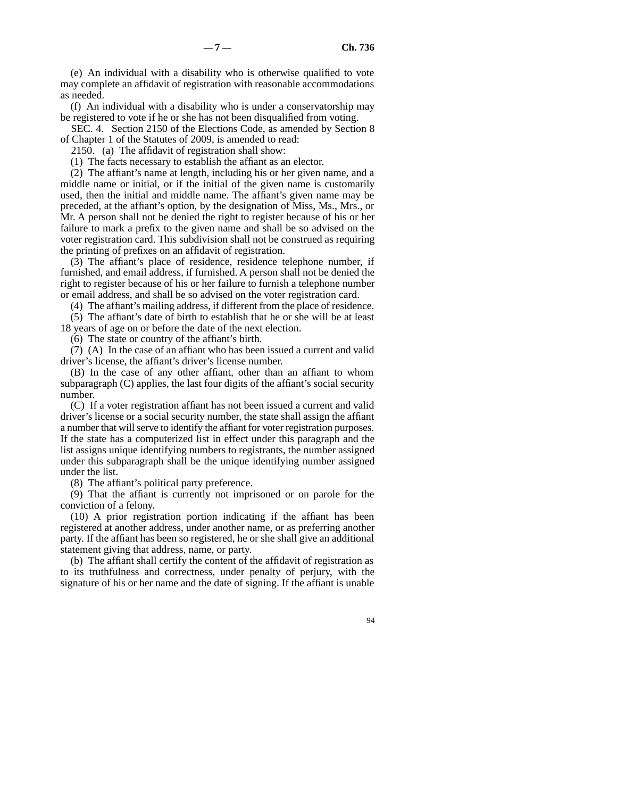(e) An individual with a disability who is otherwise qualified to vote may complete an affidavit of registration with reasonable accommodations as needed.

(f) An individual with a disability who is under a conservatorship may be registered to vote if he or she has not been disqualified from voting.

SEC. 4. Section 2150 of the Elections Code, as amended by Section 8 of Chapter 1 of the Statutes of 2009, is amended to read:

2150. (a) The affidavit of registration shall show:

(1) The facts necessary to establish the affiant as an elector.

(2) The affiant's name at length, including his or her given name, and a middle name or initial, or if the initial of the given name is customarily used, then the initial and middle name. The affiant's given name may be preceded, at the affiant's option, by the designation of Miss, Ms., Mrs., or Mr. A person shall not be denied the right to register because of his or her failure to mark a prefix to the given name and shall be so advised on the voter registration card. This subdivision shall not be construed as requiring the printing of prefixes on an affidavit of registration.

(3) The affiant's place of residence, residence telephone number, if furnished, and email address, if furnished. A person shall not be denied the right to register because of his or her failure to furnish a telephone number or email address, and shall be so advised on the voter registration card.

(4) The affiant's mailing address, if different from the place of residence.

(5) The affiant's date of birth to establish that he or she will be at least 18 years of age on or before the date of the next election.

(6) The state or country of the affiant's birth.

(7) (A) In the case of an affiant who has been issued a current and valid driver's license, the affiant's driver's license number.

(B) In the case of any other affiant, other than an affiant to whom subparagraph (C) applies, the last four digits of the affiant's social security number.

(C) If a voter registration affiant has not been issued a current and valid driver's license or a social security number, the state shall assign the affiant a number that will serve to identify the affiant for voter registration purposes. If the state has a computerized list in effect under this paragraph and the list assigns unique identifying numbers to registrants, the number assigned under this subparagraph shall be the unique identifying number assigned under the list.

(8) The affiant's political party preference.

(9) That the affiant is currently not imprisoned or on parole for the conviction of a felony.

(10) A prior registration portion indicating if the affiant has been registered at another address, under another name, or as preferring another party. If the affiant has been so registered, he or she shall give an additional statement giving that address, name, or party.

(b) The affiant shall certify the content of the affidavit of registration as to its truthfulness and correctness, under penalty of perjury, with the signature of his or her name and the date of signing. If the affiant is unable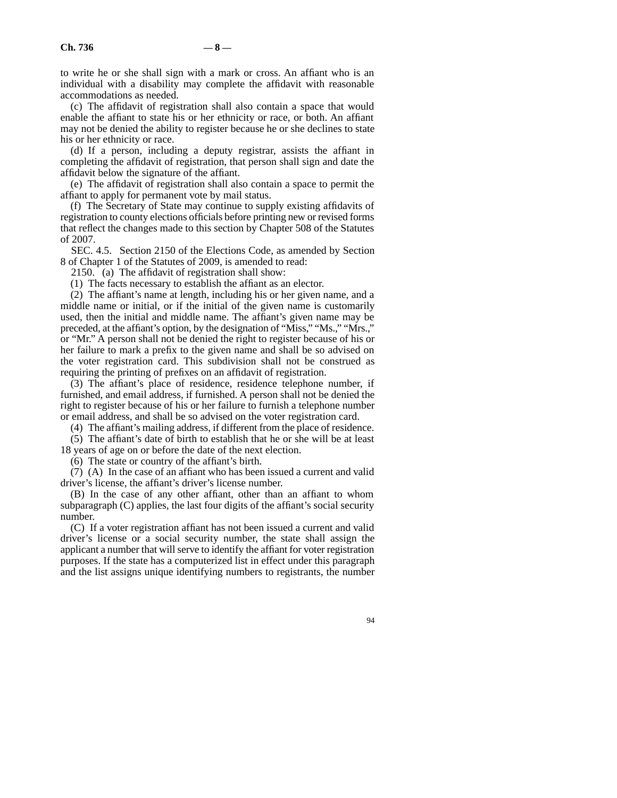to write he or she shall sign with a mark or cross. An affiant who is an individual with a disability may complete the affidavit with reasonable accommodations as needed.

(c) The affidavit of registration shall also contain a space that would enable the affiant to state his or her ethnicity or race, or both. An affiant may not be denied the ability to register because he or she declines to state his or her ethnicity or race.

(d) If a person, including a deputy registrar, assists the affiant in completing the affidavit of registration, that person shall sign and date the affidavit below the signature of the affiant.

(e) The affidavit of registration shall also contain a space to permit the affiant to apply for permanent vote by mail status.

(f) The Secretary of State may continue to supply existing affidavits of registration to county elections officials before printing new or revised forms that reflect the changes made to this section by Chapter 508 of the Statutes of 2007.

SEC. 4.5. Section 2150 of the Elections Code, as amended by Section 8 of Chapter 1 of the Statutes of 2009, is amended to read:

2150. (a) The affidavit of registration shall show:

(1) The facts necessary to establish the affiant as an elector.

(2) The affiant's name at length, including his or her given name, and a middle name or initial, or if the initial of the given name is customarily used, then the initial and middle name. The affiant's given name may be preceded, at the affiant's option, by the designation of "Miss," "Ms.," "Mrs.," or "Mr." A person shall not be denied the right to register because of his or her failure to mark a prefix to the given name and shall be so advised on the voter registration card. This subdivision shall not be construed as requiring the printing of prefixes on an affidavit of registration.

(3) The affiant's place of residence, residence telephone number, if furnished, and email address, if furnished. A person shall not be denied the right to register because of his or her failure to furnish a telephone number or email address, and shall be so advised on the voter registration card.

(4) The affiant's mailing address, if different from the place of residence.

(5) The affiant's date of birth to establish that he or she will be at least 18 years of age on or before the date of the next election.

(6) The state or country of the affiant's birth.

(7) (A) In the case of an affiant who has been issued a current and valid driver's license, the affiant's driver's license number.

(B) In the case of any other affiant, other than an affiant to whom subparagraph (C) applies, the last four digits of the affiant's social security number.

(C) If a voter registration affiant has not been issued a current and valid driver's license or a social security number, the state shall assign the applicant a number that will serve to identify the affiant for voter registration purposes. If the state has a computerized list in effect under this paragraph and the list assigns unique identifying numbers to registrants, the number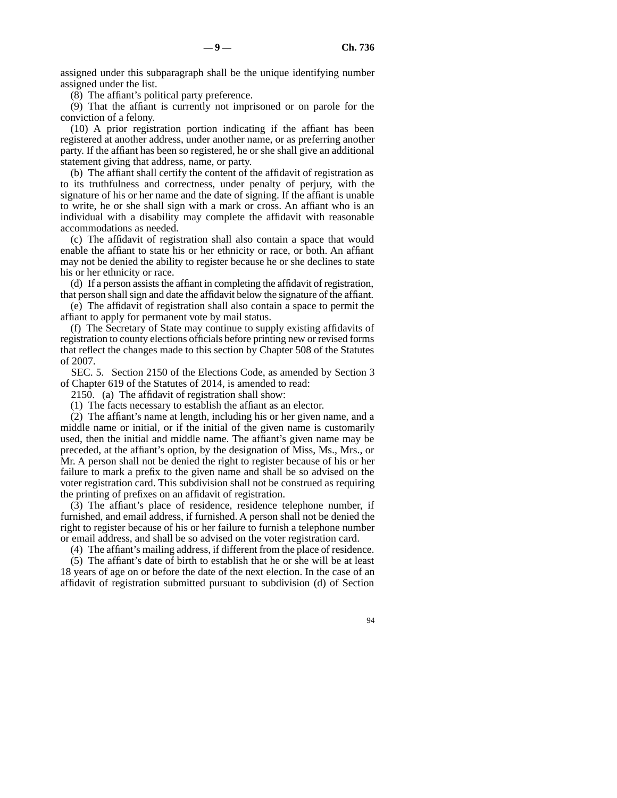assigned under this subparagraph shall be the unique identifying number assigned under the list.

(8) The affiant's political party preference.

(9) That the affiant is currently not imprisoned or on parole for the conviction of a felony.

(10) A prior registration portion indicating if the affiant has been registered at another address, under another name, or as preferring another party. If the affiant has been so registered, he or she shall give an additional statement giving that address, name, or party.

(b) The affiant shall certify the content of the affidavit of registration as to its truthfulness and correctness, under penalty of perjury, with the signature of his or her name and the date of signing. If the affiant is unable to write, he or she shall sign with a mark or cross. An affiant who is an individual with a disability may complete the affidavit with reasonable accommodations as needed.

(c) The affidavit of registration shall also contain a space that would enable the affiant to state his or her ethnicity or race, or both. An affiant may not be denied the ability to register because he or she declines to state his or her ethnicity or race.

(d) If a person assists the affiant in completing the affidavit of registration, that person shall sign and date the affidavit below the signature of the affiant.

(e) The affidavit of registration shall also contain a space to permit the affiant to apply for permanent vote by mail status.

(f) The Secretary of State may continue to supply existing affidavits of registration to county elections officials before printing new or revised forms that reflect the changes made to this section by Chapter 508 of the Statutes of 2007.

SEC. 5. Section 2150 of the Elections Code, as amended by Section 3 of Chapter 619 of the Statutes of 2014, is amended to read:

2150. (a) The affidavit of registration shall show:

(1) The facts necessary to establish the affiant as an elector.

(2) The affiant's name at length, including his or her given name, and a middle name or initial, or if the initial of the given name is customarily used, then the initial and middle name. The affiant's given name may be preceded, at the affiant's option, by the designation of Miss, Ms., Mrs., or Mr. A person shall not be denied the right to register because of his or her failure to mark a prefix to the given name and shall be so advised on the voter registration card. This subdivision shall not be construed as requiring the printing of prefixes on an affidavit of registration.

(3) The affiant's place of residence, residence telephone number, if furnished, and email address, if furnished. A person shall not be denied the right to register because of his or her failure to furnish a telephone number or email address, and shall be so advised on the voter registration card.

(4) The affiant's mailing address, if different from the place of residence.

(5) The affiant's date of birth to establish that he or she will be at least 18 years of age on or before the date of the next election. In the case of an affidavit of registration submitted pursuant to subdivision (d) of Section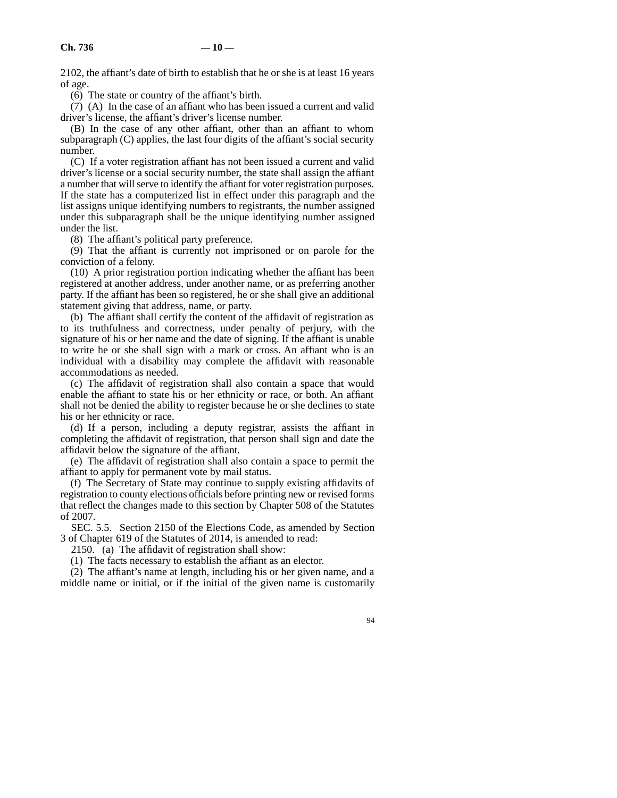2102, the affiant's date of birth to establish that he or she is at least 16 years of age.

(6) The state or country of the affiant's birth.

(7) (A) In the case of an affiant who has been issued a current and valid driver's license, the affiant's driver's license number.

(B) In the case of any other affiant, other than an affiant to whom subparagraph (C) applies, the last four digits of the affiant's social security number.

(C) If a voter registration affiant has not been issued a current and valid driver's license or a social security number, the state shall assign the affiant a number that will serve to identify the affiant for voter registration purposes. If the state has a computerized list in effect under this paragraph and the list assigns unique identifying numbers to registrants, the number assigned under this subparagraph shall be the unique identifying number assigned under the list.

(8) The affiant's political party preference.

(9) That the affiant is currently not imprisoned or on parole for the conviction of a felony.

(10) A prior registration portion indicating whether the affiant has been registered at another address, under another name, or as preferring another party. If the affiant has been so registered, he or she shall give an additional statement giving that address, name, or party.

(b) The affiant shall certify the content of the affidavit of registration as to its truthfulness and correctness, under penalty of perjury, with the signature of his or her name and the date of signing. If the affiant is unable to write he or she shall sign with a mark or cross. An affiant who is an individual with a disability may complete the affidavit with reasonable accommodations as needed.

(c) The affidavit of registration shall also contain a space that would enable the affiant to state his or her ethnicity or race, or both. An affiant shall not be denied the ability to register because he or she declines to state his or her ethnicity or race.

(d) If a person, including a deputy registrar, assists the affiant in completing the affidavit of registration, that person shall sign and date the affidavit below the signature of the affiant.

(e) The affidavit of registration shall also contain a space to permit the affiant to apply for permanent vote by mail status.

(f) The Secretary of State may continue to supply existing affidavits of registration to county elections officials before printing new or revised forms that reflect the changes made to this section by Chapter 508 of the Statutes of 2007.

SEC. 5.5. Section 2150 of the Elections Code, as amended by Section 3 of Chapter 619 of the Statutes of 2014, is amended to read:

2150. (a) The affidavit of registration shall show:

(1) The facts necessary to establish the affiant as an elector.

(2) The affiant's name at length, including his or her given name, and a middle name or initial, or if the initial of the given name is customarily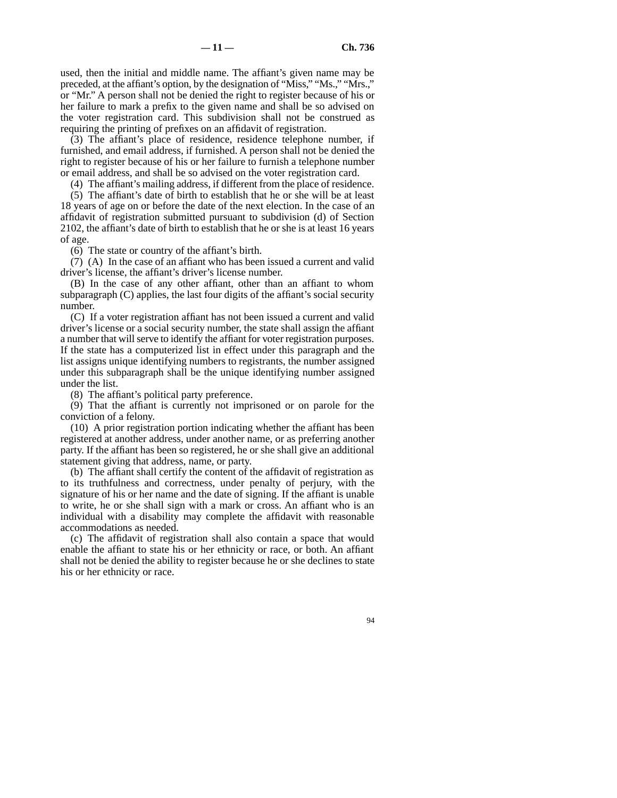used, then the initial and middle name. The affiant's given name may be preceded, at the affiant's option, by the designation of "Miss," "Ms.," "Mrs.," or "Mr." A person shall not be denied the right to register because of his or her failure to mark a prefix to the given name and shall be so advised on the voter registration card. This subdivision shall not be construed as requiring the printing of prefixes on an affidavit of registration.

(3) The affiant's place of residence, residence telephone number, if furnished, and email address, if furnished. A person shall not be denied the right to register because of his or her failure to furnish a telephone number or email address, and shall be so advised on the voter registration card.

(4) The affiant's mailing address, if different from the place of residence.

(5) The affiant's date of birth to establish that he or she will be at least 18 years of age on or before the date of the next election. In the case of an affidavit of registration submitted pursuant to subdivision (d) of Section 2102, the affiant's date of birth to establish that he or she is at least 16 years of age.

(6) The state or country of the affiant's birth.

(7) (A) In the case of an affiant who has been issued a current and valid driver's license, the affiant's driver's license number.

(B) In the case of any other affiant, other than an affiant to whom subparagraph (C) applies, the last four digits of the affiant's social security number.

(C) If a voter registration affiant has not been issued a current and valid driver's license or a social security number, the state shall assign the affiant a number that will serve to identify the affiant for voter registration purposes. If the state has a computerized list in effect under this paragraph and the list assigns unique identifying numbers to registrants, the number assigned under this subparagraph shall be the unique identifying number assigned under the list.

(8) The affiant's political party preference.

(9) That the affiant is currently not imprisoned or on parole for the conviction of a felony.

(10) A prior registration portion indicating whether the affiant has been registered at another address, under another name, or as preferring another party. If the affiant has been so registered, he or she shall give an additional statement giving that address, name, or party.

(b) The affiant shall certify the content of the affidavit of registration as to its truthfulness and correctness, under penalty of perjury, with the signature of his or her name and the date of signing. If the affiant is unable to write, he or she shall sign with a mark or cross. An affiant who is an individual with a disability may complete the affidavit with reasonable accommodations as needed.

(c) The affidavit of registration shall also contain a space that would enable the affiant to state his or her ethnicity or race, or both. An affiant shall not be denied the ability to register because he or she declines to state his or her ethnicity or race.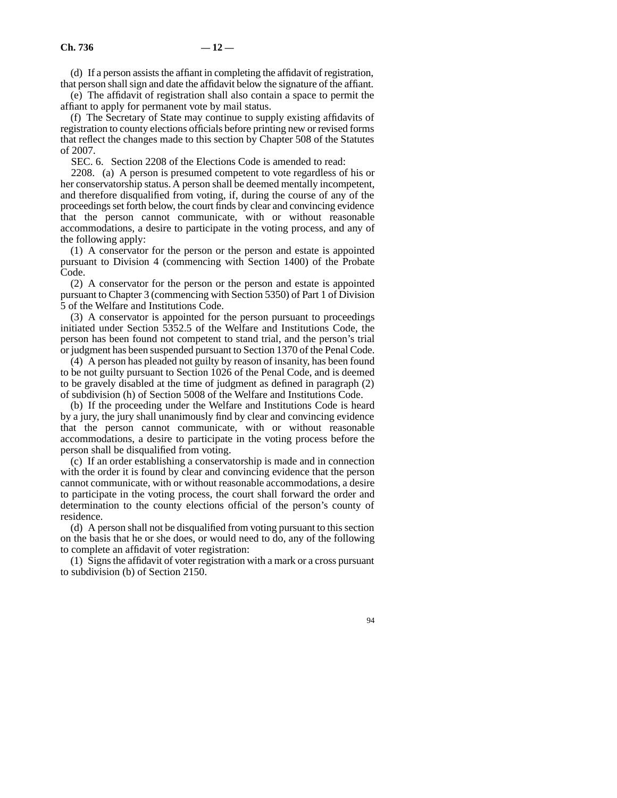(d) If a person assists the affiant in completing the affidavit of registration, that person shall sign and date the affidavit below the signature of the affiant.

(e) The affidavit of registration shall also contain a space to permit the affiant to apply for permanent vote by mail status.

(f) The Secretary of State may continue to supply existing affidavits of registration to county elections officials before printing new or revised forms that reflect the changes made to this section by Chapter 508 of the Statutes of 2007.

SEC. 6. Section 2208 of the Elections Code is amended to read:

2208. (a) A person is presumed competent to vote regardless of his or her conservatorship status. A person shall be deemed mentally incompetent, and therefore disqualified from voting, if, during the course of any of the proceedings set forth below, the court finds by clear and convincing evidence that the person cannot communicate, with or without reasonable accommodations, a desire to participate in the voting process, and any of the following apply:

(1) A conservator for the person or the person and estate is appointed pursuant to Division 4 (commencing with Section 1400) of the Probate Code.

(2) A conservator for the person or the person and estate is appointed pursuant to Chapter 3 (commencing with Section 5350) of Part 1 of Division 5 of the Welfare and Institutions Code.

(3) A conservator is appointed for the person pursuant to proceedings initiated under Section 5352.5 of the Welfare and Institutions Code, the person has been found not competent to stand trial, and the person's trial or judgment has been suspended pursuant to Section 1370 of the Penal Code.

(4) A person has pleaded not guilty by reason of insanity, has been found to be not guilty pursuant to Section 1026 of the Penal Code, and is deemed to be gravely disabled at the time of judgment as defined in paragraph (2) of subdivision (h) of Section 5008 of the Welfare and Institutions Code.

(b) If the proceeding under the Welfare and Institutions Code is heard by a jury, the jury shall unanimously find by clear and convincing evidence that the person cannot communicate, with or without reasonable accommodations, a desire to participate in the voting process before the person shall be disqualified from voting.

(c) If an order establishing a conservatorship is made and in connection with the order it is found by clear and convincing evidence that the person cannot communicate, with or without reasonable accommodations, a desire to participate in the voting process, the court shall forward the order and determination to the county elections official of the person's county of residence.

(d) A person shall not be disqualified from voting pursuant to this section on the basis that he or she does, or would need to do, any of the following to complete an affidavit of voter registration:

(1) Signs the affidavit of voter registration with a mark or a cross pursuant to subdivision (b) of Section 2150.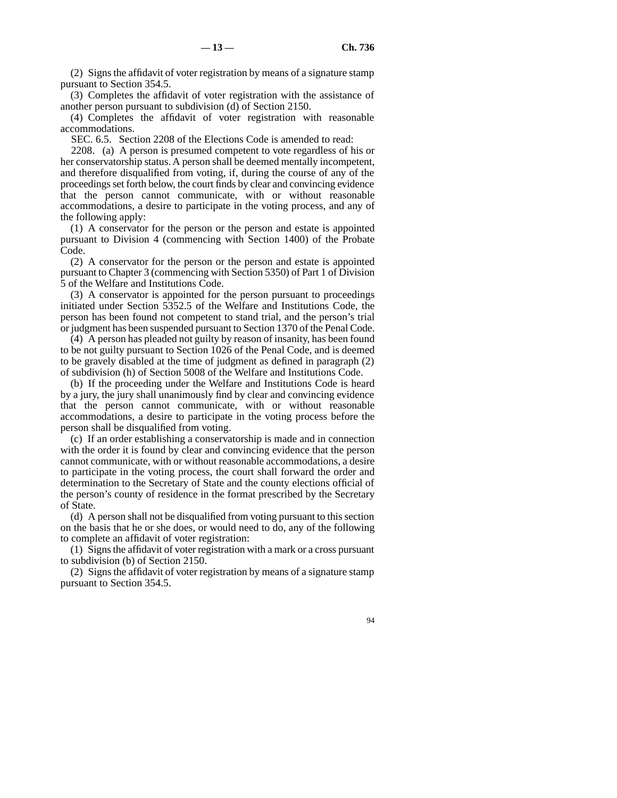(2) Signs the affidavit of voter registration by means of a signature stamp pursuant to Section 354.5.

(3) Completes the affidavit of voter registration with the assistance of another person pursuant to subdivision (d) of Section 2150.

(4) Completes the affidavit of voter registration with reasonable accommodations.

SEC. 6.5. Section 2208 of the Elections Code is amended to read:

2208. (a) A person is presumed competent to vote regardless of his or her conservatorship status. A person shall be deemed mentally incompetent, and therefore disqualified from voting, if, during the course of any of the proceedings set forth below, the court finds by clear and convincing evidence that the person cannot communicate, with or without reasonable accommodations, a desire to participate in the voting process, and any of the following apply:

(1) A conservator for the person or the person and estate is appointed pursuant to Division 4 (commencing with Section 1400) of the Probate Code.

(2) A conservator for the person or the person and estate is appointed pursuant to Chapter 3 (commencing with Section 5350) of Part 1 of Division 5 of the Welfare and Institutions Code.

(3) A conservator is appointed for the person pursuant to proceedings initiated under Section 5352.5 of the Welfare and Institutions Code, the person has been found not competent to stand trial, and the person's trial or judgment has been suspended pursuant to Section 1370 of the Penal Code.

(4) A person has pleaded not guilty by reason of insanity, has been found to be not guilty pursuant to Section 1026 of the Penal Code, and is deemed to be gravely disabled at the time of judgment as defined in paragraph (2) of subdivision (h) of Section 5008 of the Welfare and Institutions Code.

(b) If the proceeding under the Welfare and Institutions Code is heard by a jury, the jury shall unanimously find by clear and convincing evidence that the person cannot communicate, with or without reasonable accommodations, a desire to participate in the voting process before the person shall be disqualified from voting.

(c) If an order establishing a conservatorship is made and in connection with the order it is found by clear and convincing evidence that the person cannot communicate, with or without reasonable accommodations, a desire to participate in the voting process, the court shall forward the order and determination to the Secretary of State and the county elections official of the person's county of residence in the format prescribed by the Secretary of State.

(d) A person shall not be disqualified from voting pursuant to this section on the basis that he or she does, or would need to do, any of the following to complete an affidavit of voter registration:

(1) Signs the affidavit of voter registration with a mark or a cross pursuant to subdivision (b) of Section 2150.

(2) Signs the affidavit of voter registration by means of a signature stamp pursuant to Section 354.5.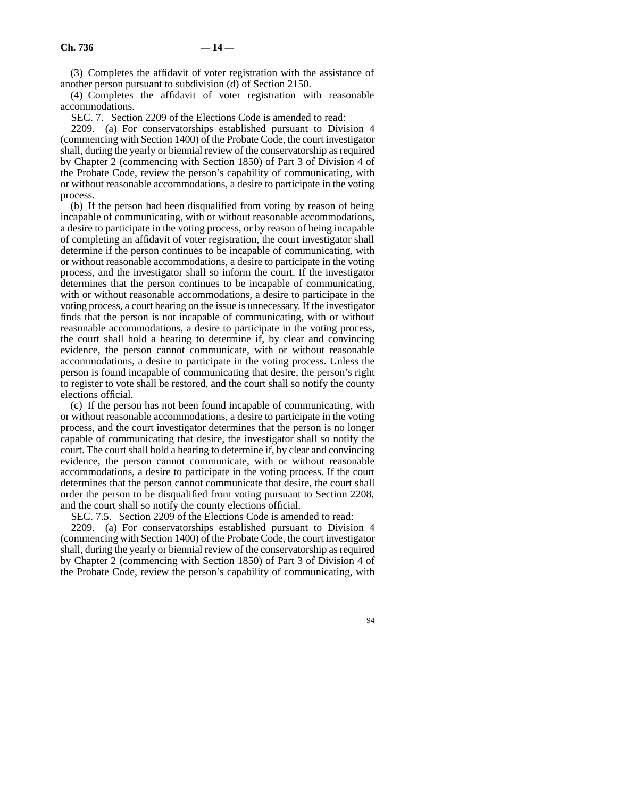(3) Completes the affidavit of voter registration with the assistance of another person pursuant to subdivision (d) of Section 2150.

(4) Completes the affidavit of voter registration with reasonable accommodations.

SEC. 7. Section 2209 of the Elections Code is amended to read:

2209. (a) For conservatorships established pursuant to Division 4 (commencing with Section 1400) of the Probate Code, the court investigator shall, during the yearly or biennial review of the conservatorship as required by Chapter 2 (commencing with Section 1850) of Part 3 of Division 4 of the Probate Code, review the person's capability of communicating, with or without reasonable accommodations, a desire to participate in the voting process.

(b) If the person had been disqualified from voting by reason of being incapable of communicating, with or without reasonable accommodations, a desire to participate in the voting process, or by reason of being incapable of completing an affidavit of voter registration, the court investigator shall determine if the person continues to be incapable of communicating, with or without reasonable accommodations, a desire to participate in the voting process, and the investigator shall so inform the court. If the investigator determines that the person continues to be incapable of communicating, with or without reasonable accommodations, a desire to participate in the voting process, a court hearing on the issue is unnecessary. If the investigator finds that the person is not incapable of communicating, with or without reasonable accommodations, a desire to participate in the voting process, the court shall hold a hearing to determine if, by clear and convincing evidence, the person cannot communicate, with or without reasonable accommodations, a desire to participate in the voting process. Unless the person is found incapable of communicating that desire, the person's right to register to vote shall be restored, and the court shall so notify the county elections official.

(c) If the person has not been found incapable of communicating, with or without reasonable accommodations, a desire to participate in the voting process, and the court investigator determines that the person is no longer capable of communicating that desire, the investigator shall so notify the court. The court shall hold a hearing to determine if, by clear and convincing evidence, the person cannot communicate, with or without reasonable accommodations, a desire to participate in the voting process. If the court determines that the person cannot communicate that desire, the court shall order the person to be disqualified from voting pursuant to Section 2208, and the court shall so notify the county elections official.

SEC. 7.5. Section 2209 of the Elections Code is amended to read:

2209. (a) For conservatorships established pursuant to Division 4 (commencing with Section 1400) of the Probate Code, the court investigator shall, during the yearly or biennial review of the conservatorship as required by Chapter 2 (commencing with Section 1850) of Part 3 of Division 4 of the Probate Code, review the person's capability of communicating, with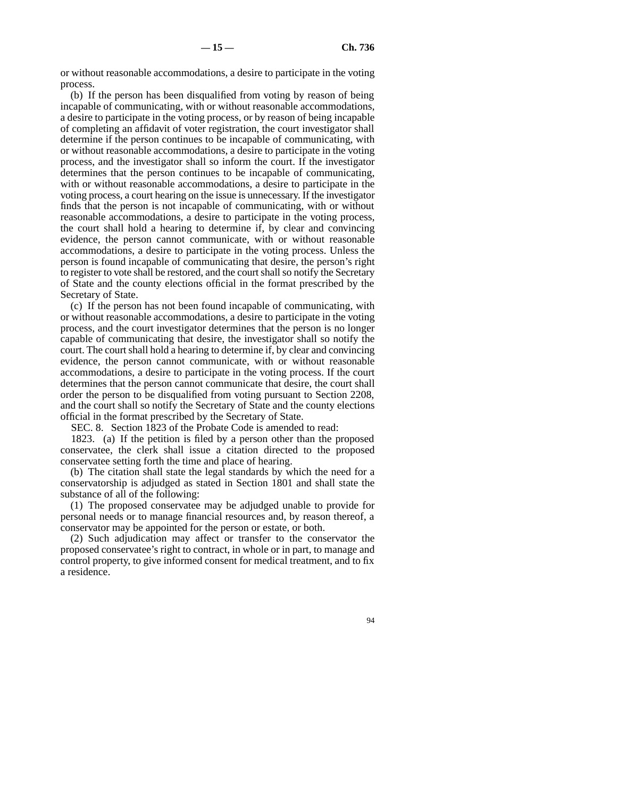or without reasonable accommodations, a desire to participate in the voting process.

(b) If the person has been disqualified from voting by reason of being incapable of communicating, with or without reasonable accommodations, a desire to participate in the voting process, or by reason of being incapable of completing an affidavit of voter registration, the court investigator shall determine if the person continues to be incapable of communicating, with or without reasonable accommodations, a desire to participate in the voting process, and the investigator shall so inform the court. If the investigator determines that the person continues to be incapable of communicating, with or without reasonable accommodations, a desire to participate in the voting process, a court hearing on the issue is unnecessary. If the investigator finds that the person is not incapable of communicating, with or without reasonable accommodations, a desire to participate in the voting process, the court shall hold a hearing to determine if, by clear and convincing evidence, the person cannot communicate, with or without reasonable accommodations, a desire to participate in the voting process. Unless the person is found incapable of communicating that desire, the person's right to register to vote shall be restored, and the court shall so notify the Secretary of State and the county elections official in the format prescribed by the Secretary of State.

(c) If the person has not been found incapable of communicating, with or without reasonable accommodations, a desire to participate in the voting process, and the court investigator determines that the person is no longer capable of communicating that desire, the investigator shall so notify the court. The court shall hold a hearing to determine if, by clear and convincing evidence, the person cannot communicate, with or without reasonable accommodations, a desire to participate in the voting process. If the court determines that the person cannot communicate that desire, the court shall order the person to be disqualified from voting pursuant to Section 2208, and the court shall so notify the Secretary of State and the county elections official in the format prescribed by the Secretary of State.

SEC. 8. Section 1823 of the Probate Code is amended to read:

1823. (a) If the petition is filed by a person other than the proposed conservatee, the clerk shall issue a citation directed to the proposed conservatee setting forth the time and place of hearing.

(b) The citation shall state the legal standards by which the need for a conservatorship is adjudged as stated in Section 1801 and shall state the substance of all of the following:

(1) The proposed conservatee may be adjudged unable to provide for personal needs or to manage financial resources and, by reason thereof, a conservator may be appointed for the person or estate, or both.

(2) Such adjudication may affect or transfer to the conservator the proposed conservatee's right to contract, in whole or in part, to manage and control property, to give informed consent for medical treatment, and to fix a residence.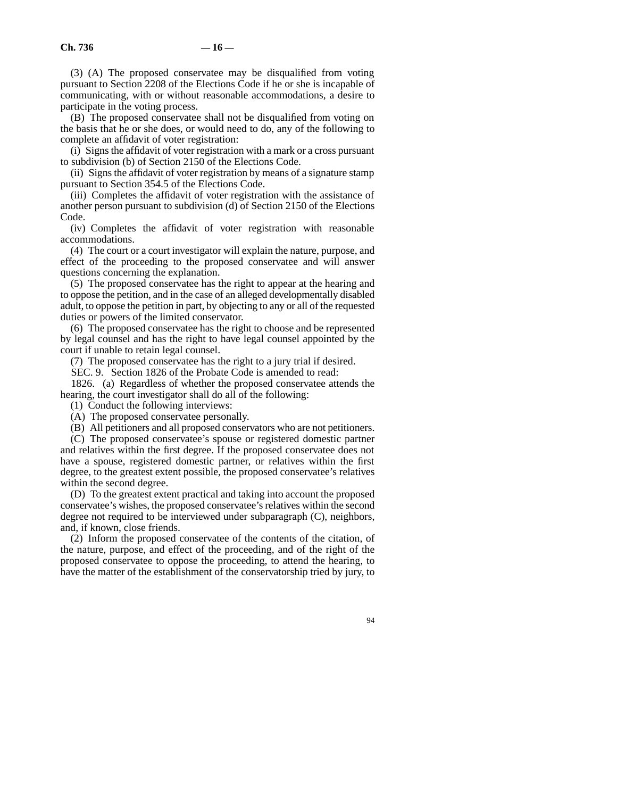(3) (A) The proposed conservatee may be disqualified from voting pursuant to Section 2208 of the Elections Code if he or she is incapable of communicating, with or without reasonable accommodations, a desire to participate in the voting process.

(B) The proposed conservatee shall not be disqualified from voting on the basis that he or she does, or would need to do, any of the following to complete an affidavit of voter registration:

(i) Signs the affidavit of voter registration with a mark or a cross pursuant to subdivision (b) of Section 2150 of the Elections Code.

(ii) Signs the affidavit of voter registration by means of a signature stamp pursuant to Section 354.5 of the Elections Code.

(iii) Completes the affidavit of voter registration with the assistance of another person pursuant to subdivision (d) of Section 2150 of the Elections Code.

(iv) Completes the affidavit of voter registration with reasonable accommodations.

(4) The court or a court investigator will explain the nature, purpose, and effect of the proceeding to the proposed conservatee and will answer questions concerning the explanation.

(5) The proposed conservatee has the right to appear at the hearing and to oppose the petition, and in the case of an alleged developmentally disabled adult, to oppose the petition in part, by objecting to any or all of the requested duties or powers of the limited conservator.

(6) The proposed conservatee has the right to choose and be represented by legal counsel and has the right to have legal counsel appointed by the court if unable to retain legal counsel.

(7) The proposed conservatee has the right to a jury trial if desired.

SEC. 9. Section 1826 of the Probate Code is amended to read:

1826. (a) Regardless of whether the proposed conservatee attends the hearing, the court investigator shall do all of the following:

(1) Conduct the following interviews:

(A) The proposed conservatee personally.

(B) All petitioners and all proposed conservators who are not petitioners.

(C) The proposed conservatee's spouse or registered domestic partner and relatives within the first degree. If the proposed conservatee does not have a spouse, registered domestic partner, or relatives within the first degree, to the greatest extent possible, the proposed conservatee's relatives within the second degree.

(D) To the greatest extent practical and taking into account the proposed conservatee's wishes, the proposed conservatee's relatives within the second degree not required to be interviewed under subparagraph (C), neighbors, and, if known, close friends.

(2) Inform the proposed conservatee of the contents of the citation, of the nature, purpose, and effect of the proceeding, and of the right of the proposed conservatee to oppose the proceeding, to attend the hearing, to have the matter of the establishment of the conservatorship tried by jury, to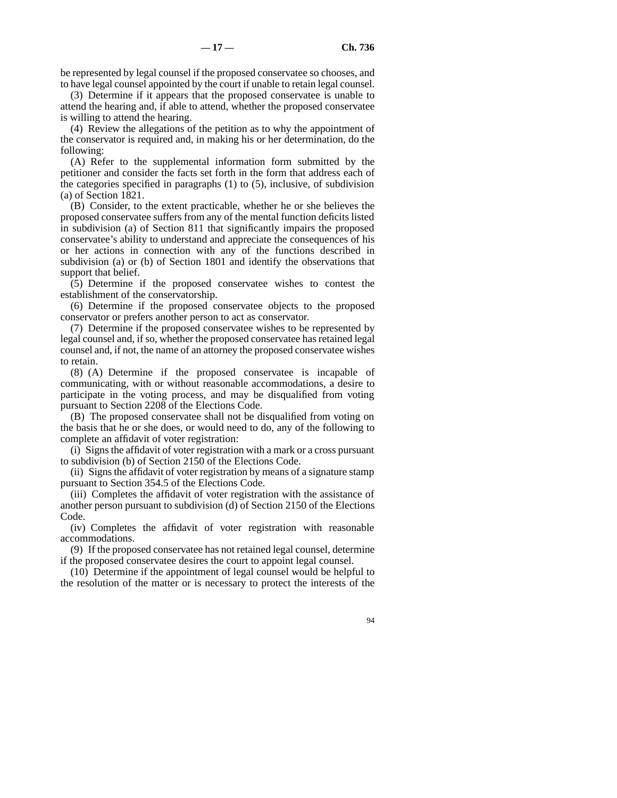be represented by legal counsel if the proposed conservatee so chooses, and to have legal counsel appointed by the court if unable to retain legal counsel.

(3) Determine if it appears that the proposed conservatee is unable to attend the hearing and, if able to attend, whether the proposed conservatee is willing to attend the hearing.

(4) Review the allegations of the petition as to why the appointment of the conservator is required and, in making his or her determination, do the following:

(A) Refer to the supplemental information form submitted by the petitioner and consider the facts set forth in the form that address each of the categories specified in paragraphs (1) to (5), inclusive, of subdivision (a) of Section 1821.

(B) Consider, to the extent practicable, whether he or she believes the proposed conservatee suffers from any of the mental function deficits listed in subdivision (a) of Section 811 that significantly impairs the proposed conservatee's ability to understand and appreciate the consequences of his or her actions in connection with any of the functions described in subdivision (a) or (b) of Section 1801 and identify the observations that support that belief.

(5) Determine if the proposed conservatee wishes to contest the establishment of the conservatorship.

(6) Determine if the proposed conservatee objects to the proposed conservator or prefers another person to act as conservator.

(7) Determine if the proposed conservatee wishes to be represented by legal counsel and, if so, whether the proposed conservatee has retained legal counsel and, if not, the name of an attorney the proposed conservatee wishes to retain.

(8) (A) Determine if the proposed conservatee is incapable of communicating, with or without reasonable accommodations, a desire to participate in the voting process, and may be disqualified from voting pursuant to Section 2208 of the Elections Code.

(B) The proposed conservatee shall not be disqualified from voting on the basis that he or she does, or would need to do, any of the following to complete an affidavit of voter registration:

(i) Signs the affidavit of voter registration with a mark or a cross pursuant to subdivision (b) of Section 2150 of the Elections Code.

(ii) Signs the affidavit of voter registration by means of a signature stamp pursuant to Section 354.5 of the Elections Code.

(iii) Completes the affidavit of voter registration with the assistance of another person pursuant to subdivision (d) of Section 2150 of the Elections Code.

(iv) Completes the affidavit of voter registration with reasonable accommodations.

(9) If the proposed conservatee has not retained legal counsel, determine if the proposed conservatee desires the court to appoint legal counsel.

(10) Determine if the appointment of legal counsel would be helpful to the resolution of the matter or is necessary to protect the interests of the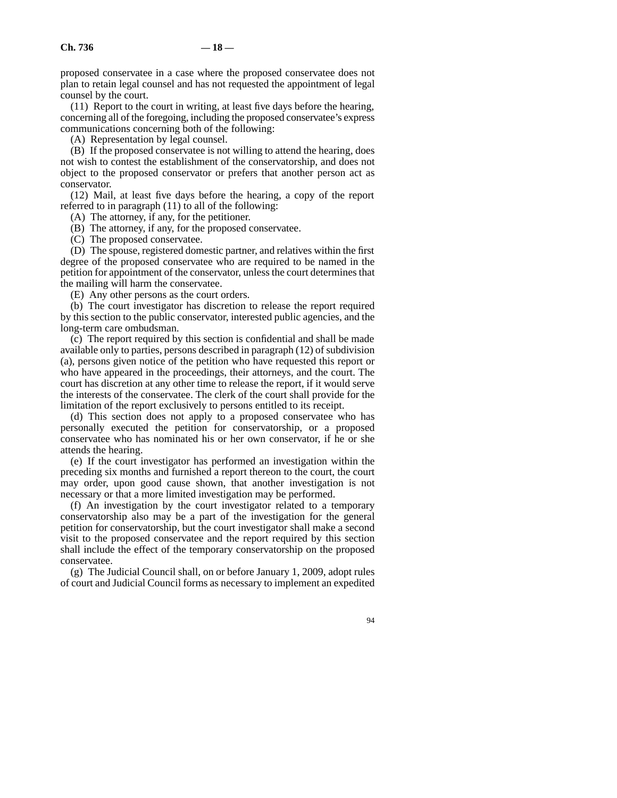proposed conservatee in a case where the proposed conservatee does not plan to retain legal counsel and has not requested the appointment of legal counsel by the court.

(11) Report to the court in writing, at least five days before the hearing, concerning all of the foregoing, including the proposed conservatee's express communications concerning both of the following:

(A) Representation by legal counsel.

(B) If the proposed conservatee is not willing to attend the hearing, does not wish to contest the establishment of the conservatorship, and does not object to the proposed conservator or prefers that another person act as conservator.

(12) Mail, at least five days before the hearing, a copy of the report referred to in paragraph (11) to all of the following:

(A) The attorney, if any, for the petitioner.

(B) The attorney, if any, for the proposed conservatee.

(C) The proposed conservatee.

(D) The spouse, registered domestic partner, and relatives within the first degree of the proposed conservatee who are required to be named in the petition for appointment of the conservator, unless the court determines that the mailing will harm the conservatee.

(E) Any other persons as the court orders.

(b) The court investigator has discretion to release the report required by this section to the public conservator, interested public agencies, and the long-term care ombudsman.

(c) The report required by this section is confidential and shall be made available only to parties, persons described in paragraph (12) of subdivision (a), persons given notice of the petition who have requested this report or who have appeared in the proceedings, their attorneys, and the court. The court has discretion at any other time to release the report, if it would serve the interests of the conservatee. The clerk of the court shall provide for the limitation of the report exclusively to persons entitled to its receipt.

(d) This section does not apply to a proposed conservatee who has personally executed the petition for conservatorship, or a proposed conservatee who has nominated his or her own conservator, if he or she attends the hearing.

(e) If the court investigator has performed an investigation within the preceding six months and furnished a report thereon to the court, the court may order, upon good cause shown, that another investigation is not necessary or that a more limited investigation may be performed.

(f) An investigation by the court investigator related to a temporary conservatorship also may be a part of the investigation for the general petition for conservatorship, but the court investigator shall make a second visit to the proposed conservatee and the report required by this section shall include the effect of the temporary conservatorship on the proposed conservatee.

(g) The Judicial Council shall, on or before January 1, 2009, adopt rules of court and Judicial Council forms as necessary to implement an expedited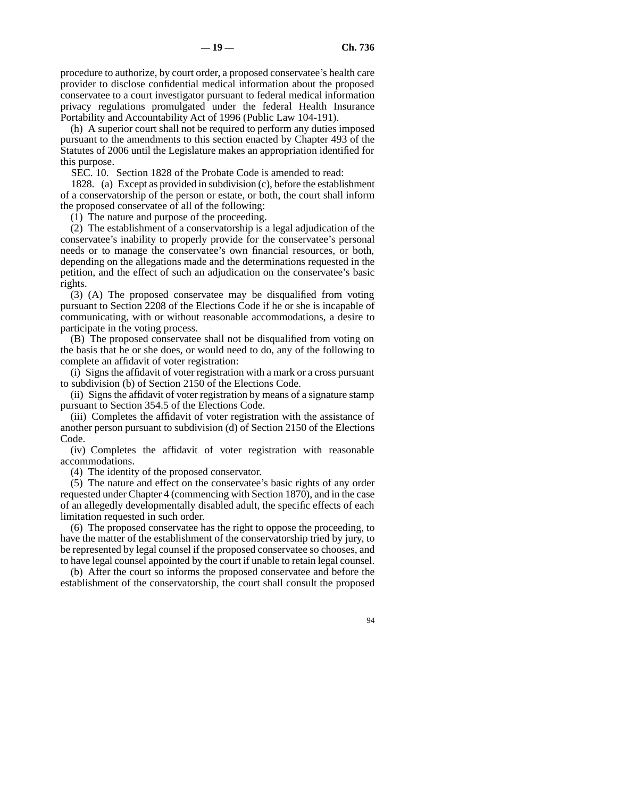procedure to authorize, by court order, a proposed conservatee's health care provider to disclose confidential medical information about the proposed conservatee to a court investigator pursuant to federal medical information privacy regulations promulgated under the federal Health Insurance Portability and Accountability Act of 1996 (Public Law 104-191).

(h) A superior court shall not be required to perform any duties imposed pursuant to the amendments to this section enacted by Chapter 493 of the Statutes of 2006 until the Legislature makes an appropriation identified for this purpose.

SEC. 10. Section 1828 of the Probate Code is amended to read:

1828. (a) Except as provided in subdivision (c), before the establishment of a conservatorship of the person or estate, or both, the court shall inform the proposed conservatee of all of the following:

(1) The nature and purpose of the proceeding.

(2) The establishment of a conservatorship is a legal adjudication of the conservatee's inability to properly provide for the conservatee's personal needs or to manage the conservatee's own financial resources, or both, depending on the allegations made and the determinations requested in the petition, and the effect of such an adjudication on the conservatee's basic rights.

(3) (A) The proposed conservatee may be disqualified from voting pursuant to Section 2208 of the Elections Code if he or she is incapable of communicating, with or without reasonable accommodations, a desire to participate in the voting process.

(B) The proposed conservatee shall not be disqualified from voting on the basis that he or she does, or would need to do, any of the following to complete an affidavit of voter registration:

(i) Signs the affidavit of voter registration with a mark or a cross pursuant to subdivision (b) of Section 2150 of the Elections Code.

(ii) Signs the affidavit of voter registration by means of a signature stamp pursuant to Section 354.5 of the Elections Code.

(iii) Completes the affidavit of voter registration with the assistance of another person pursuant to subdivision (d) of Section 2150 of the Elections Code.

(iv) Completes the affidavit of voter registration with reasonable accommodations.

(4) The identity of the proposed conservator.

(5) The nature and effect on the conservatee's basic rights of any order requested under Chapter 4 (commencing with Section 1870), and in the case of an allegedly developmentally disabled adult, the specific effects of each limitation requested in such order.

(6) The proposed conservatee has the right to oppose the proceeding, to have the matter of the establishment of the conservatorship tried by jury, to be represented by legal counsel if the proposed conservatee so chooses, and to have legal counsel appointed by the court if unable to retain legal counsel.

(b) After the court so informs the proposed conservatee and before the establishment of the conservatorship, the court shall consult the proposed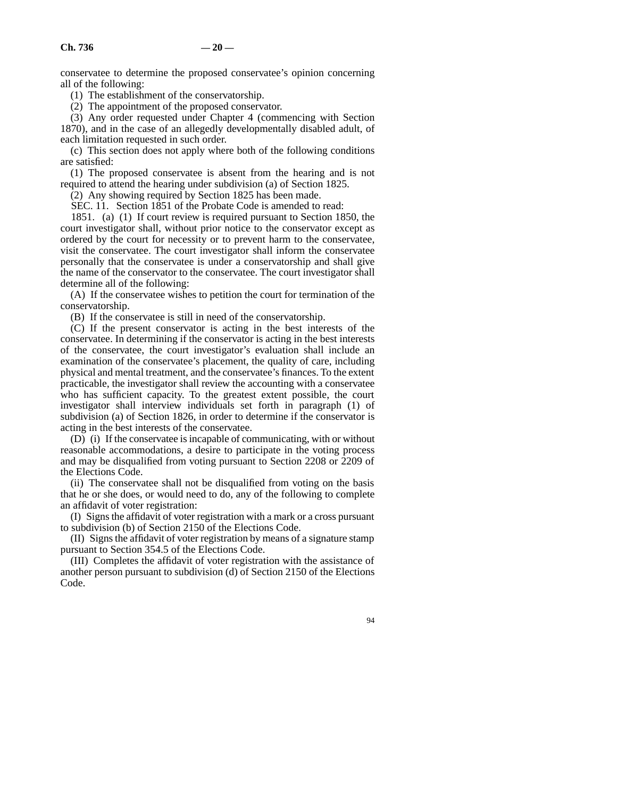conservatee to determine the proposed conservatee's opinion concerning all of the following:

(1) The establishment of the conservatorship.

(2) The appointment of the proposed conservator.

(3) Any order requested under Chapter 4 (commencing with Section 1870), and in the case of an allegedly developmentally disabled adult, of each limitation requested in such order.

(c) This section does not apply where both of the following conditions are satisfied:

(1) The proposed conservatee is absent from the hearing and is not required to attend the hearing under subdivision (a) of Section 1825.

(2) Any showing required by Section 1825 has been made.

SEC. 11. Section 1851 of the Probate Code is amended to read:

1851. (a) (1) If court review is required pursuant to Section 1850, the court investigator shall, without prior notice to the conservator except as ordered by the court for necessity or to prevent harm to the conservatee, visit the conservatee. The court investigator shall inform the conservatee personally that the conservatee is under a conservatorship and shall give the name of the conservator to the conservatee. The court investigator shall determine all of the following:

(A) If the conservatee wishes to petition the court for termination of the conservatorship.

(B) If the conservatee is still in need of the conservatorship.

(C) If the present conservator is acting in the best interests of the conservatee. In determining if the conservator is acting in the best interests of the conservatee, the court investigator's evaluation shall include an examination of the conservatee's placement, the quality of care, including physical and mental treatment, and the conservatee's finances. To the extent practicable, the investigator shall review the accounting with a conservatee who has sufficient capacity. To the greatest extent possible, the court investigator shall interview individuals set forth in paragraph (1) of subdivision (a) of Section 1826, in order to determine if the conservator is acting in the best interests of the conservatee.

(D) (i) If the conservatee is incapable of communicating, with or without reasonable accommodations, a desire to participate in the voting process and may be disqualified from voting pursuant to Section 2208 or 2209 of the Elections Code.

(ii) The conservatee shall not be disqualified from voting on the basis that he or she does, or would need to do, any of the following to complete an affidavit of voter registration:

(I) Signs the affidavit of voter registration with a mark or a cross pursuant to subdivision (b) of Section 2150 of the Elections Code.

(II) Signs the affidavit of voter registration by means of a signature stamp pursuant to Section 354.5 of the Elections Code.

(III) Completes the affidavit of voter registration with the assistance of another person pursuant to subdivision (d) of Section 2150 of the Elections Code.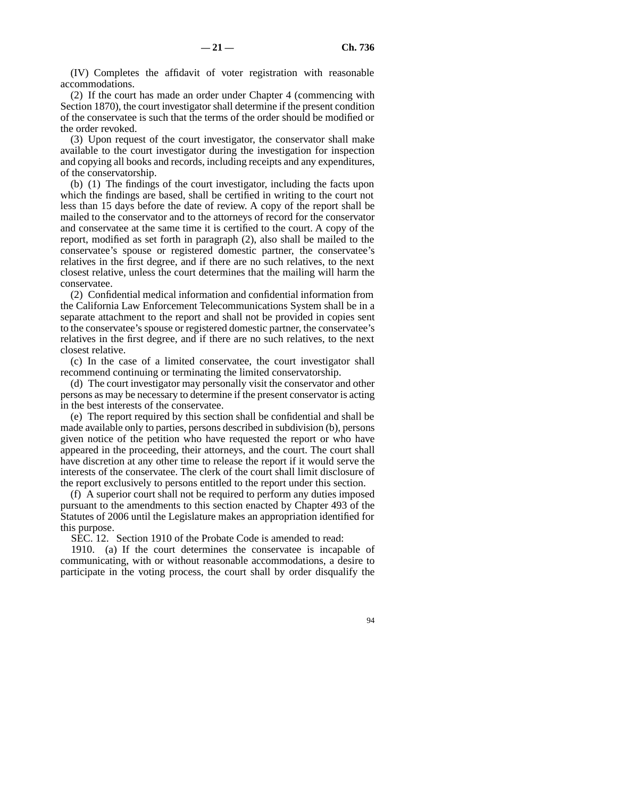(IV) Completes the affidavit of voter registration with reasonable accommodations.

(2) If the court has made an order under Chapter 4 (commencing with Section 1870), the court investigator shall determine if the present condition of the conservatee is such that the terms of the order should be modified or the order revoked.

(3) Upon request of the court investigator, the conservator shall make available to the court investigator during the investigation for inspection and copying all books and records, including receipts and any expenditures, of the conservatorship.

(b) (1) The findings of the court investigator, including the facts upon which the findings are based, shall be certified in writing to the court not less than 15 days before the date of review. A copy of the report shall be mailed to the conservator and to the attorneys of record for the conservator and conservatee at the same time it is certified to the court. A copy of the report, modified as set forth in paragraph (2), also shall be mailed to the conservatee's spouse or registered domestic partner, the conservatee's relatives in the first degree, and if there are no such relatives, to the next closest relative, unless the court determines that the mailing will harm the conservatee.

(2) Confidential medical information and confidential information from the California Law Enforcement Telecommunications System shall be in a separate attachment to the report and shall not be provided in copies sent to the conservatee's spouse or registered domestic partner, the conservatee's relatives in the first degree, and if there are no such relatives, to the next closest relative.

(c) In the case of a limited conservatee, the court investigator shall recommend continuing or terminating the limited conservatorship.

(d) The court investigator may personally visit the conservator and other persons as may be necessary to determine if the present conservator is acting in the best interests of the conservatee.

(e) The report required by this section shall be confidential and shall be made available only to parties, persons described in subdivision (b), persons given notice of the petition who have requested the report or who have appeared in the proceeding, their attorneys, and the court. The court shall have discretion at any other time to release the report if it would serve the interests of the conservatee. The clerk of the court shall limit disclosure of the report exclusively to persons entitled to the report under this section.

(f) A superior court shall not be required to perform any duties imposed pursuant to the amendments to this section enacted by Chapter 493 of the Statutes of 2006 until the Legislature makes an appropriation identified for this purpose.

SEC. 12. Section 1910 of the Probate Code is amended to read:

1910. (a) If the court determines the conservatee is incapable of communicating, with or without reasonable accommodations, a desire to participate in the voting process, the court shall by order disqualify the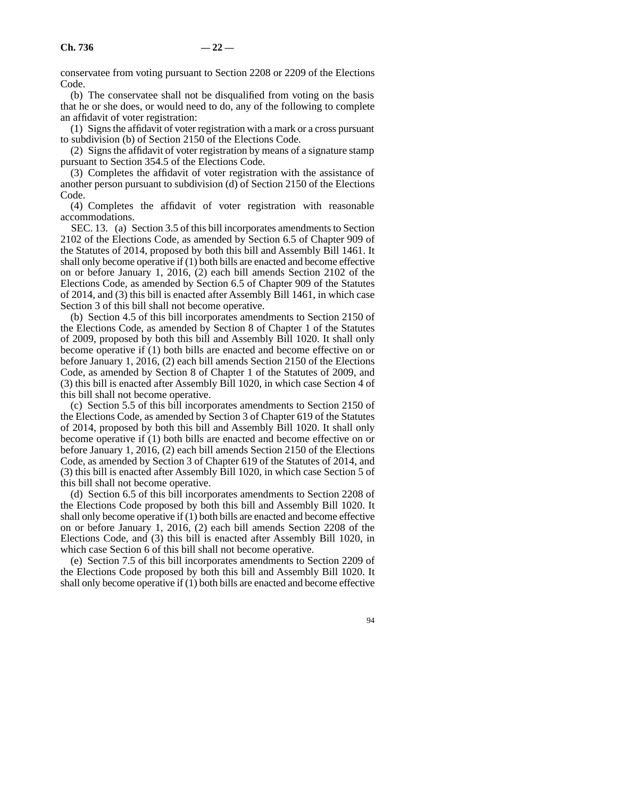conservatee from voting pursuant to Section 2208 or 2209 of the Elections Code.

(b) The conservatee shall not be disqualified from voting on the basis that he or she does, or would need to do, any of the following to complete an affidavit of voter registration:

(1) Signs the affidavit of voter registration with a mark or a cross pursuant to subdivision (b) of Section 2150 of the Elections Code.

(2) Signs the affidavit of voter registration by means of a signature stamp pursuant to Section 354.5 of the Elections Code.

(3) Completes the affidavit of voter registration with the assistance of another person pursuant to subdivision (d) of Section 2150 of the Elections Code.

(4) Completes the affidavit of voter registration with reasonable accommodations.

SEC. 13. (a) Section 3.5 of this bill incorporates amendments to Section 2102 of the Elections Code, as amended by Section 6.5 of Chapter 909 of the Statutes of 2014, proposed by both this bill and Assembly Bill 1461. It shall only become operative if (1) both bills are enacted and become effective on or before January 1, 2016, (2) each bill amends Section 2102 of the Elections Code, as amended by Section 6.5 of Chapter 909 of the Statutes of 2014, and (3) this bill is enacted after Assembly Bill 1461, in which case Section 3 of this bill shall not become operative.

(b) Section 4.5 of this bill incorporates amendments to Section 2150 of the Elections Code, as amended by Section 8 of Chapter 1 of the Statutes of 2009, proposed by both this bill and Assembly Bill 1020. It shall only become operative if (1) both bills are enacted and become effective on or before January 1, 2016, (2) each bill amends Section 2150 of the Elections Code, as amended by Section 8 of Chapter 1 of the Statutes of 2009, and (3) this bill is enacted after Assembly Bill 1020, in which case Section 4 of this bill shall not become operative.

(c) Section 5.5 of this bill incorporates amendments to Section 2150 of the Elections Code, as amended by Section 3 of Chapter 619 of the Statutes of 2014, proposed by both this bill and Assembly Bill 1020. It shall only become operative if (1) both bills are enacted and become effective on or before January 1, 2016, (2) each bill amends Section 2150 of the Elections Code, as amended by Section 3 of Chapter 619 of the Statutes of 2014, and (3) this bill is enacted after Assembly Bill 1020, in which case Section 5 of this bill shall not become operative.

(d) Section 6.5 of this bill incorporates amendments to Section 2208 of the Elections Code proposed by both this bill and Assembly Bill 1020. It shall only become operative if (1) both bills are enacted and become effective on or before January 1, 2016, (2) each bill amends Section 2208 of the Elections Code, and (3) this bill is enacted after Assembly Bill 1020, in which case Section 6 of this bill shall not become operative.

(e) Section 7.5 of this bill incorporates amendments to Section 2209 of the Elections Code proposed by both this bill and Assembly Bill 1020. It shall only become operative if (1) both bills are enacted and become effective